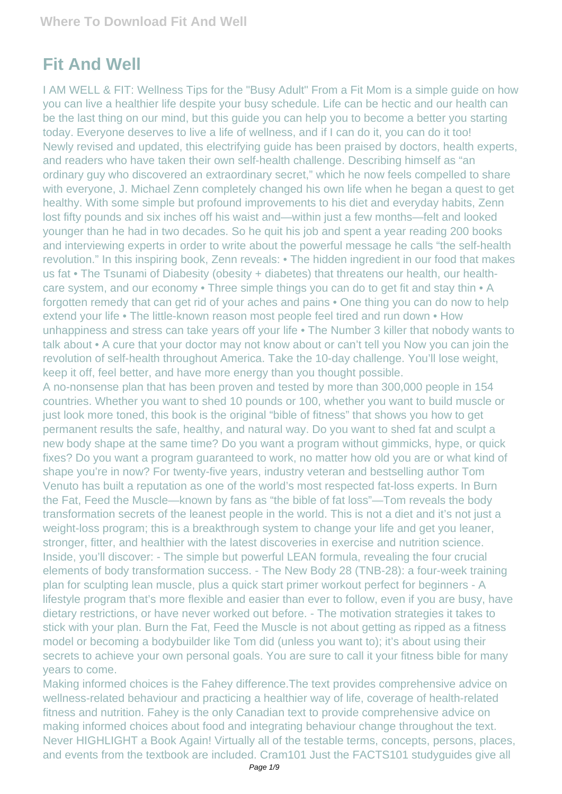## **Fit And Well**

I AM WELL & FIT: Wellness Tips for the "Busy Adult" From a Fit Mom is a simple guide on how you can live a healthier life despite your busy schedule. Life can be hectic and our health can be the last thing on our mind, but this guide you can help you to become a better you starting today. Everyone deserves to live a life of wellness, and if I can do it, you can do it too! Newly revised and updated, this electrifying guide has been praised by doctors, health experts, and readers who have taken their own self-health challenge. Describing himself as "an ordinary guy who discovered an extraordinary secret," which he now feels compelled to share with everyone, J. Michael Zenn completely changed his own life when he began a quest to get healthy. With some simple but profound improvements to his diet and everyday habits, Zenn lost fifty pounds and six inches off his waist and—within just a few months—felt and looked younger than he had in two decades. So he quit his job and spent a year reading 200 books and interviewing experts in order to write about the powerful message he calls "the self-health revolution." In this inspiring book, Zenn reveals: • The hidden ingredient in our food that makes us fat • The Tsunami of Diabesity (obesity + diabetes) that threatens our health, our healthcare system, and our economy • Three simple things you can do to get fit and stay thin • A forgotten remedy that can get rid of your aches and pains • One thing you can do now to help extend your life • The little-known reason most people feel tired and run down • How unhappiness and stress can take years off your life • The Number 3 killer that nobody wants to talk about • A cure that your doctor may not know about or can't tell you Now you can join the revolution of self-health throughout America. Take the 10-day challenge. You'll lose weight, keep it off, feel better, and have more energy than you thought possible. A no-nonsense plan that has been proven and tested by more than 300,000 people in 154 countries. Whether you want to shed 10 pounds or 100, whether you want to build muscle or just look more toned, this book is the original "bible of fitness" that shows you how to get permanent results the safe, healthy, and natural way. Do you want to shed fat and sculpt a new body shape at the same time? Do you want a program without gimmicks, hype, or quick fixes? Do you want a program guaranteed to work, no matter how old you are or what kind of shape you're in now? For twenty-five years, industry veteran and bestselling author Tom Venuto has built a reputation as one of the world's most respected fat-loss experts. In Burn the Fat, Feed the Muscle—known by fans as "the bible of fat loss"—Tom reveals the body transformation secrets of the leanest people in the world. This is not a diet and it's not just a weight-loss program; this is a breakthrough system to change your life and get you leaner, stronger, fitter, and healthier with the latest discoveries in exercise and nutrition science.

Inside, you'll discover: - The simple but powerful LEAN formula, revealing the four crucial elements of body transformation success. - The New Body 28 (TNB-28): a four-week training plan for sculpting lean muscle, plus a quick start primer workout perfect for beginners - A lifestyle program that's more flexible and easier than ever to follow, even if you are busy, have dietary restrictions, or have never worked out before. - The motivation strategies it takes to stick with your plan. Burn the Fat, Feed the Muscle is not about getting as ripped as a fitness model or becoming a bodybuilder like Tom did (unless you want to); it's about using their secrets to achieve your own personal goals. You are sure to call it your fitness bible for many years to come.

Making informed choices is the Fahey difference.The text provides comprehensive advice on wellness-related behaviour and practicing a healthier way of life, coverage of health-related fitness and nutrition. Fahey is the only Canadian text to provide comprehensive advice on making informed choices about food and integrating behaviour change throughout the text. Never HIGHLIGHT a Book Again! Virtually all of the testable terms, concepts, persons, places, and events from the textbook are included. Cram101 Just the FACTS101 studyguides give all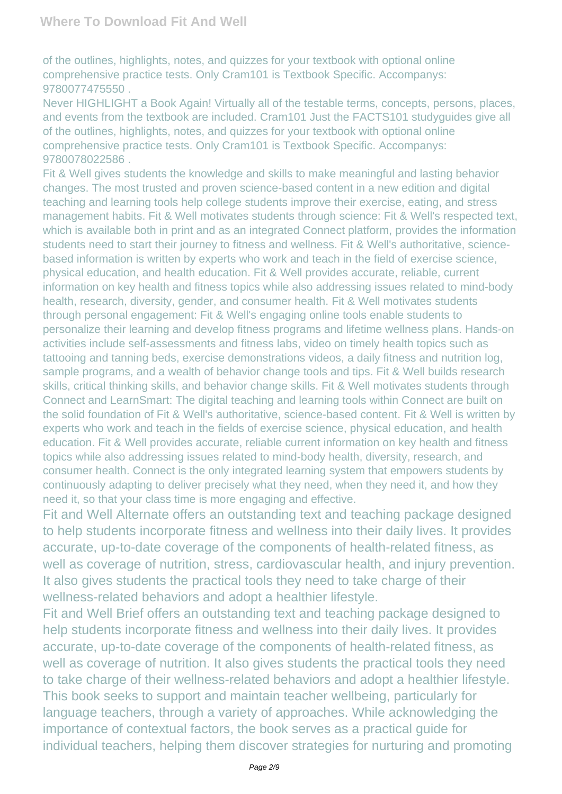of the outlines, highlights, notes, and quizzes for your textbook with optional online comprehensive practice tests. Only Cram101 is Textbook Specific. Accompanys: 9780077475550 .

Never HIGHLIGHT a Book Again! Virtually all of the testable terms, concepts, persons, places, and events from the textbook are included. Cram101 Just the FACTS101 studyguides give all of the outlines, highlights, notes, and quizzes for your textbook with optional online comprehensive practice tests. Only Cram101 is Textbook Specific. Accompanys: 9780078022586 .

Fit & Well gives students the knowledge and skills to make meaningful and lasting behavior changes. The most trusted and proven science-based content in a new edition and digital teaching and learning tools help college students improve their exercise, eating, and stress management habits. Fit & Well motivates students through science: Fit & Well's respected text, which is available both in print and as an integrated Connect platform, provides the information students need to start their journey to fitness and wellness. Fit & Well's authoritative, sciencebased information is written by experts who work and teach in the field of exercise science, physical education, and health education. Fit & Well provides accurate, reliable, current information on key health and fitness topics while also addressing issues related to mind-body health, research, diversity, gender, and consumer health. Fit & Well motivates students through personal engagement: Fit & Well's engaging online tools enable students to personalize their learning and develop fitness programs and lifetime wellness plans. Hands-on activities include self-assessments and fitness labs, video on timely health topics such as tattooing and tanning beds, exercise demonstrations videos, a daily fitness and nutrition log, sample programs, and a wealth of behavior change tools and tips. Fit & Well builds research skills, critical thinking skills, and behavior change skills. Fit & Well motivates students through Connect and LearnSmart: The digital teaching and learning tools within Connect are built on the solid foundation of Fit & Well's authoritative, science-based content. Fit & Well is written by experts who work and teach in the fields of exercise science, physical education, and health education. Fit & Well provides accurate, reliable current information on key health and fitness topics while also addressing issues related to mind-body health, diversity, research, and consumer health. Connect is the only integrated learning system that empowers students by continuously adapting to deliver precisely what they need, when they need it, and how they need it, so that your class time is more engaging and effective.

Fit and Well Alternate offers an outstanding text and teaching package designed to help students incorporate fitness and wellness into their daily lives. It provides accurate, up-to-date coverage of the components of health-related fitness, as well as coverage of nutrition, stress, cardiovascular health, and injury prevention. It also gives students the practical tools they need to take charge of their wellness-related behaviors and adopt a healthier lifestyle.

Fit and Well Brief offers an outstanding text and teaching package designed to help students incorporate fitness and wellness into their daily lives. It provides accurate, up-to-date coverage of the components of health-related fitness, as well as coverage of nutrition. It also gives students the practical tools they need to take charge of their wellness-related behaviors and adopt a healthier lifestyle. This book seeks to support and maintain teacher wellbeing, particularly for language teachers, through a variety of approaches. While acknowledging the importance of contextual factors, the book serves as a practical guide for individual teachers, helping them discover strategies for nurturing and promoting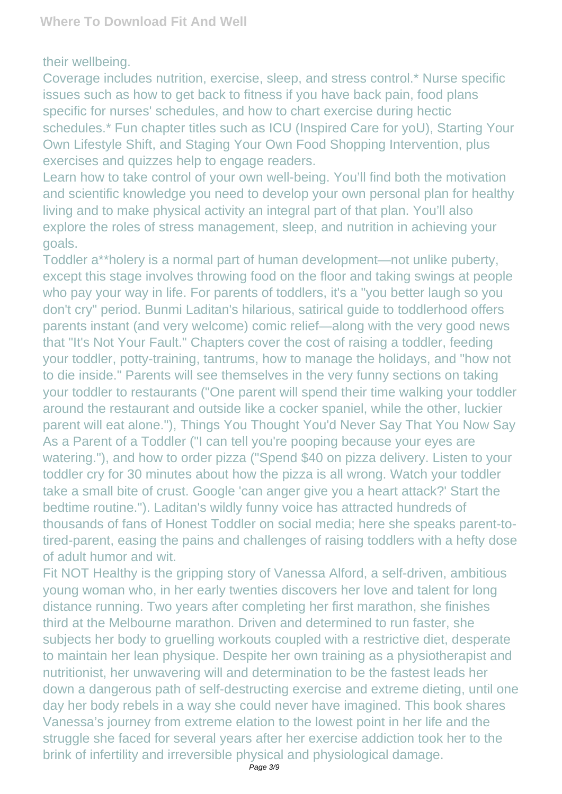## their wellbeing.

Coverage includes nutrition, exercise, sleep, and stress control.\* Nurse specific issues such as how to get back to fitness if you have back pain, food plans specific for nurses' schedules, and how to chart exercise during hectic schedules.\* Fun chapter titles such as ICU (Inspired Care for yoU), Starting Your Own Lifestyle Shift, and Staging Your Own Food Shopping Intervention, plus exercises and quizzes help to engage readers.

Learn how to take control of your own well-being. You'll find both the motivation and scientific knowledge you need to develop your own personal plan for healthy living and to make physical activity an integral part of that plan. You'll also explore the roles of stress management, sleep, and nutrition in achieving your goals.

Toddler a\*\*holery is a normal part of human development—not unlike puberty, except this stage involves throwing food on the floor and taking swings at people who pay your way in life. For parents of toddlers, it's a "you better laugh so you don't cry" period. Bunmi Laditan's hilarious, satirical guide to toddlerhood offers parents instant (and very welcome) comic relief—along with the very good news that "It's Not Your Fault." Chapters cover the cost of raising a toddler, feeding your toddler, potty-training, tantrums, how to manage the holidays, and "how not to die inside." Parents will see themselves in the very funny sections on taking your toddler to restaurants ("One parent will spend their time walking your toddler around the restaurant and outside like a cocker spaniel, while the other, luckier parent will eat alone."), Things You Thought You'd Never Say That You Now Say As a Parent of a Toddler ("I can tell you're pooping because your eyes are watering."), and how to order pizza ("Spend \$40 on pizza delivery. Listen to your toddler cry for 30 minutes about how the pizza is all wrong. Watch your toddler take a small bite of crust. Google 'can anger give you a heart attack?' Start the bedtime routine."). Laditan's wildly funny voice has attracted hundreds of thousands of fans of Honest Toddler on social media; here she speaks parent-totired-parent, easing the pains and challenges of raising toddlers with a hefty dose of adult humor and wit.

Fit NOT Healthy is the gripping story of Vanessa Alford, a self-driven, ambitious young woman who, in her early twenties discovers her love and talent for long distance running. Two years after completing her first marathon, she finishes third at the Melbourne marathon. Driven and determined to run faster, she subjects her body to gruelling workouts coupled with a restrictive diet, desperate to maintain her lean physique. Despite her own training as a physiotherapist and nutritionist, her unwavering will and determination to be the fastest leads her down a dangerous path of self-destructing exercise and extreme dieting, until one day her body rebels in a way she could never have imagined. This book shares Vanessa's journey from extreme elation to the lowest point in her life and the struggle she faced for several years after her exercise addiction took her to the brink of infertility and irreversible physical and physiological damage.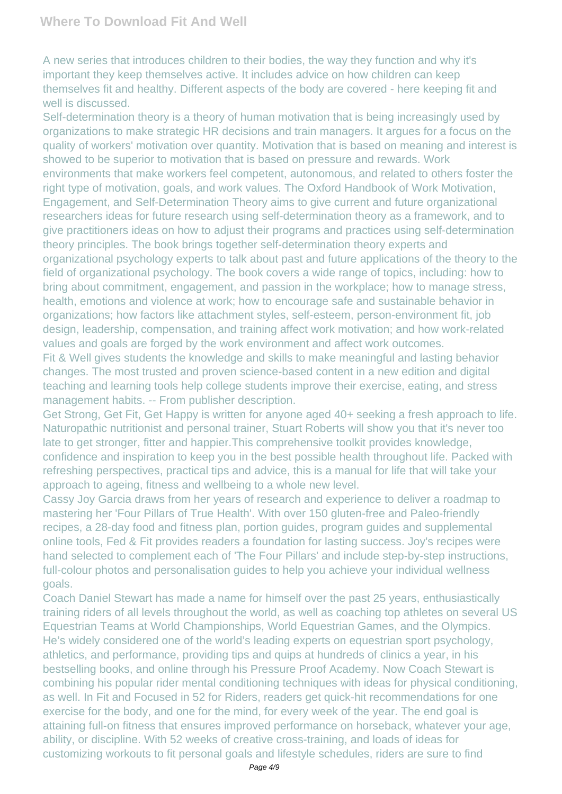A new series that introduces children to their bodies, the way they function and why it's important they keep themselves active. It includes advice on how children can keep themselves fit and healthy. Different aspects of the body are covered - here keeping fit and well is discussed.

Self-determination theory is a theory of human motivation that is being increasingly used by organizations to make strategic HR decisions and train managers. It argues for a focus on the quality of workers' motivation over quantity. Motivation that is based on meaning and interest is showed to be superior to motivation that is based on pressure and rewards. Work environments that make workers feel competent, autonomous, and related to others foster the right type of motivation, goals, and work values. The Oxford Handbook of Work Motivation, Engagement, and Self-Determination Theory aims to give current and future organizational researchers ideas for future research using self-determination theory as a framework, and to give practitioners ideas on how to adjust their programs and practices using self-determination theory principles. The book brings together self-determination theory experts and organizational psychology experts to talk about past and future applications of the theory to the field of organizational psychology. The book covers a wide range of topics, including: how to bring about commitment, engagement, and passion in the workplace; how to manage stress, health, emotions and violence at work; how to encourage safe and sustainable behavior in organizations; how factors like attachment styles, self-esteem, person-environment fit, job design, leadership, compensation, and training affect work motivation; and how work-related values and goals are forged by the work environment and affect work outcomes.

Fit & Well gives students the knowledge and skills to make meaningful and lasting behavior changes. The most trusted and proven science-based content in a new edition and digital teaching and learning tools help college students improve their exercise, eating, and stress management habits. -- From publisher description.

Get Strong, Get Fit, Get Happy is written for anyone aged 40+ seeking a fresh approach to life. Naturopathic nutritionist and personal trainer, Stuart Roberts will show you that it's never too late to get stronger, fitter and happier.This comprehensive toolkit provides knowledge, confidence and inspiration to keep you in the best possible health throughout life. Packed with refreshing perspectives, practical tips and advice, this is a manual for life that will take your approach to ageing, fitness and wellbeing to a whole new level.

Cassy Joy Garcia draws from her years of research and experience to deliver a roadmap to mastering her 'Four Pillars of True Health'. With over 150 gluten-free and Paleo-friendly recipes, a 28-day food and fitness plan, portion guides, program guides and supplemental online tools, Fed & Fit provides readers a foundation for lasting success. Joy's recipes were hand selected to complement each of 'The Four Pillars' and include step-by-step instructions, full-colour photos and personalisation guides to help you achieve your individual wellness goals.

Coach Daniel Stewart has made a name for himself over the past 25 years, enthusiastically training riders of all levels throughout the world, as well as coaching top athletes on several US Equestrian Teams at World Championships, World Equestrian Games, and the Olympics. He's widely considered one of the world's leading experts on equestrian sport psychology, athletics, and performance, providing tips and quips at hundreds of clinics a year, in his bestselling books, and online through his Pressure Proof Academy. Now Coach Stewart is combining his popular rider mental conditioning techniques with ideas for physical conditioning, as well. In Fit and Focused in 52 for Riders, readers get quick-hit recommendations for one exercise for the body, and one for the mind, for every week of the year. The end goal is attaining full-on fitness that ensures improved performance on horseback, whatever your age, ability, or discipline. With 52 weeks of creative cross-training, and loads of ideas for customizing workouts to fit personal goals and lifestyle schedules, riders are sure to find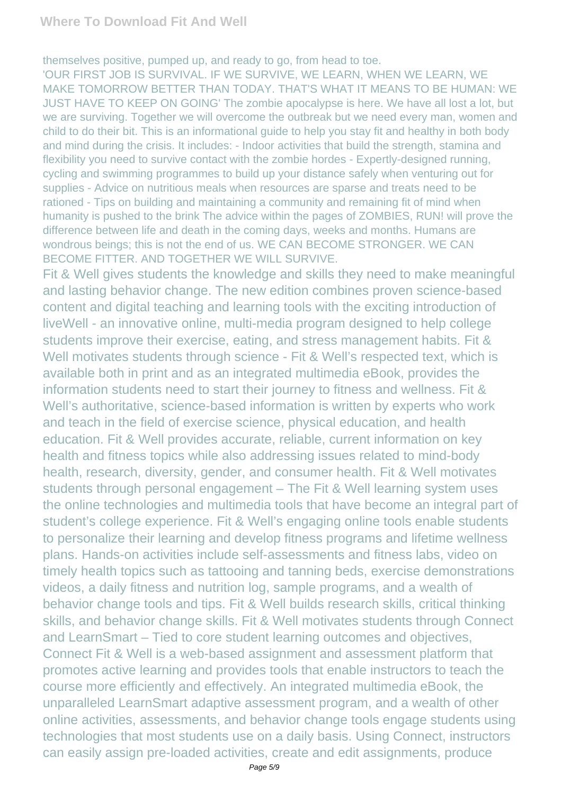themselves positive, pumped up, and ready to go, from head to toe.

'OUR FIRST JOB IS SURVIVAL. IF WE SURVIVE, WE LEARN, WHEN WE LEARN, WE MAKE TOMORROW BETTER THAN TODAY. THAT'S WHAT IT MEANS TO BE HUMAN: WE JUST HAVE TO KEEP ON GOING' The zombie apocalypse is here. We have all lost a lot, but we are surviving. Together we will overcome the outbreak but we need every man, women and child to do their bit. This is an informational guide to help you stay fit and healthy in both body and mind during the crisis. It includes: - Indoor activities that build the strength, stamina and flexibility you need to survive contact with the zombie hordes - Expertly-designed running, cycling and swimming programmes to build up your distance safely when venturing out for supplies - Advice on nutritious meals when resources are sparse and treats need to be rationed - Tips on building and maintaining a community and remaining fit of mind when humanity is pushed to the brink The advice within the pages of ZOMBIES, RUN! will prove the difference between life and death in the coming days, weeks and months. Humans are wondrous beings; this is not the end of us. WE CAN BECOME STRONGER. WE CAN BECOME FITTER. AND TOGETHER WE WILL SURVIVE.

Fit & Well gives students the knowledge and skills they need to make meaningful and lasting behavior change. The new edition combines proven science-based content and digital teaching and learning tools with the exciting introduction of liveWell - an innovative online, multi-media program designed to help college students improve their exercise, eating, and stress management habits. Fit & Well motivates students through science - Fit & Well's respected text, which is available both in print and as an integrated multimedia eBook, provides the information students need to start their journey to fitness and wellness. Fit & Well's authoritative, science-based information is written by experts who work and teach in the field of exercise science, physical education, and health education. Fit & Well provides accurate, reliable, current information on key health and fitness topics while also addressing issues related to mind-body health, research, diversity, gender, and consumer health. Fit & Well motivates students through personal engagement – The Fit & Well learning system uses the online technologies and multimedia tools that have become an integral part of student's college experience. Fit & Well's engaging online tools enable students to personalize their learning and develop fitness programs and lifetime wellness plans. Hands-on activities include self-assessments and fitness labs, video on timely health topics such as tattooing and tanning beds, exercise demonstrations videos, a daily fitness and nutrition log, sample programs, and a wealth of behavior change tools and tips. Fit & Well builds research skills, critical thinking skills, and behavior change skills. Fit & Well motivates students through Connect and LearnSmart – Tied to core student learning outcomes and objectives, Connect Fit & Well is a web-based assignment and assessment platform that promotes active learning and provides tools that enable instructors to teach the course more efficiently and effectively. An integrated multimedia eBook, the unparalleled LearnSmart adaptive assessment program, and a wealth of other online activities, assessments, and behavior change tools engage students using technologies that most students use on a daily basis. Using Connect, instructors can easily assign pre-loaded activities, create and edit assignments, produce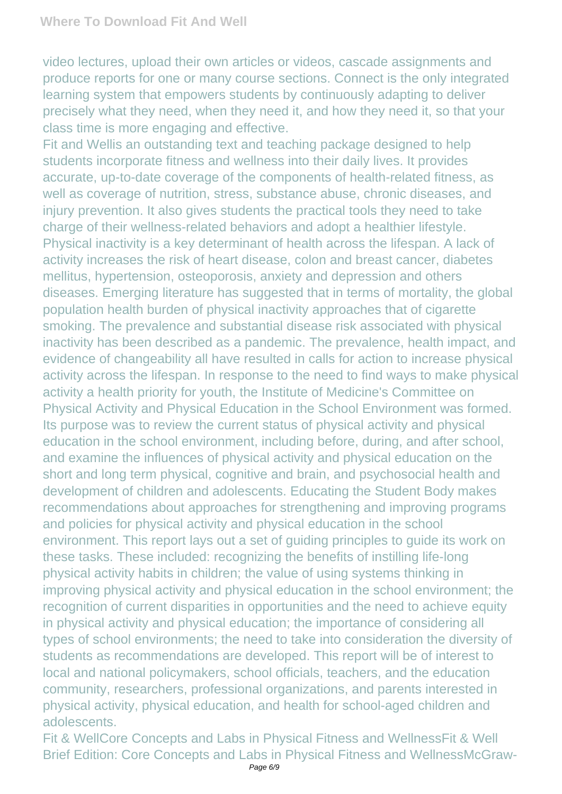video lectures, upload their own articles or videos, cascade assignments and produce reports for one or many course sections. Connect is the only integrated learning system that empowers students by continuously adapting to deliver precisely what they need, when they need it, and how they need it, so that your class time is more engaging and effective.

Fit and Wellis an outstanding text and teaching package designed to help students incorporate fitness and wellness into their daily lives. It provides accurate, up-to-date coverage of the components of health-related fitness, as well as coverage of nutrition, stress, substance abuse, chronic diseases, and injury prevention. It also gives students the practical tools they need to take charge of their wellness-related behaviors and adopt a healthier lifestyle. Physical inactivity is a key determinant of health across the lifespan. A lack of activity increases the risk of heart disease, colon and breast cancer, diabetes mellitus, hypertension, osteoporosis, anxiety and depression and others diseases. Emerging literature has suggested that in terms of mortality, the global population health burden of physical inactivity approaches that of cigarette smoking. The prevalence and substantial disease risk associated with physical inactivity has been described as a pandemic. The prevalence, health impact, and evidence of changeability all have resulted in calls for action to increase physical activity across the lifespan. In response to the need to find ways to make physical activity a health priority for youth, the Institute of Medicine's Committee on Physical Activity and Physical Education in the School Environment was formed. Its purpose was to review the current status of physical activity and physical education in the school environment, including before, during, and after school, and examine the influences of physical activity and physical education on the short and long term physical, cognitive and brain, and psychosocial health and development of children and adolescents. Educating the Student Body makes recommendations about approaches for strengthening and improving programs and policies for physical activity and physical education in the school environment. This report lays out a set of guiding principles to guide its work on these tasks. These included: recognizing the benefits of instilling life-long physical activity habits in children; the value of using systems thinking in improving physical activity and physical education in the school environment; the recognition of current disparities in opportunities and the need to achieve equity in physical activity and physical education; the importance of considering all types of school environments; the need to take into consideration the diversity of students as recommendations are developed. This report will be of interest to local and national policymakers, school officials, teachers, and the education community, researchers, professional organizations, and parents interested in physical activity, physical education, and health for school-aged children and adolescents.

Fit & WellCore Concepts and Labs in Physical Fitness and WellnessFit & Well Brief Edition: Core Concepts and Labs in Physical Fitness and WellnessMcGraw-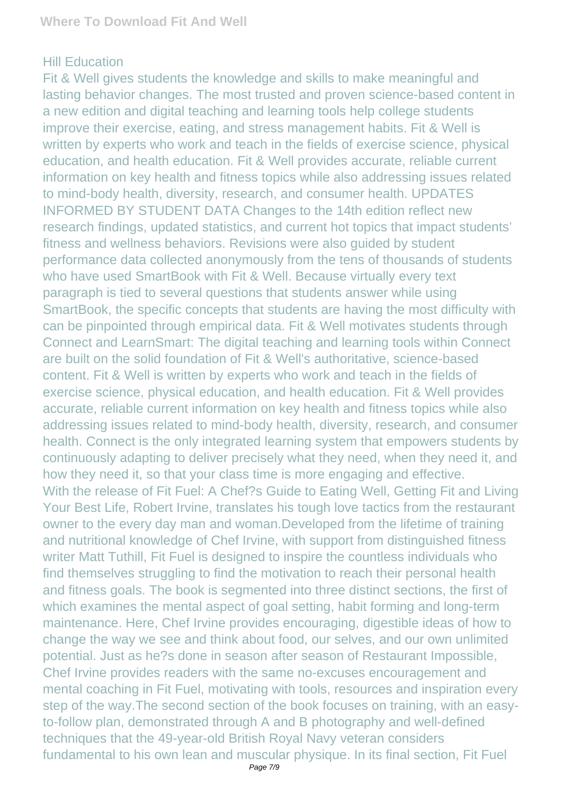## **Hill Education**

Fit & Well gives students the knowledge and skills to make meaningful and lasting behavior changes. The most trusted and proven science-based content in a new edition and digital teaching and learning tools help college students improve their exercise, eating, and stress management habits. Fit & Well is written by experts who work and teach in the fields of exercise science, physical education, and health education. Fit & Well provides accurate, reliable current information on key health and fitness topics while also addressing issues related to mind-body health, diversity, research, and consumer health. UPDATES INFORMED BY STUDENT DATA Changes to the 14th edition reflect new research findings, updated statistics, and current hot topics that impact students' fitness and wellness behaviors. Revisions were also guided by student performance data collected anonymously from the tens of thousands of students who have used SmartBook with Fit & Well. Because virtually every text paragraph is tied to several questions that students answer while using SmartBook, the specific concepts that students are having the most difficulty with can be pinpointed through empirical data. Fit & Well motivates students through Connect and LearnSmart: The digital teaching and learning tools within Connect are built on the solid foundation of Fit & Well's authoritative, science-based content. Fit & Well is written by experts who work and teach in the fields of exercise science, physical education, and health education. Fit & Well provides accurate, reliable current information on key health and fitness topics while also addressing issues related to mind-body health, diversity, research, and consumer health. Connect is the only integrated learning system that empowers students by continuously adapting to deliver precisely what they need, when they need it, and how they need it, so that your class time is more engaging and effective. With the release of Fit Fuel: A Chef?s Guide to Eating Well, Getting Fit and Living Your Best Life, Robert Irvine, translates his tough love tactics from the restaurant owner to the every day man and woman.Developed from the lifetime of training and nutritional knowledge of Chef Irvine, with support from distinguished fitness writer Matt Tuthill, Fit Fuel is designed to inspire the countless individuals who find themselves struggling to find the motivation to reach their personal health and fitness goals. The book is segmented into three distinct sections, the first of which examines the mental aspect of goal setting, habit forming and long-term maintenance. Here, Chef Irvine provides encouraging, digestible ideas of how to change the way we see and think about food, our selves, and our own unlimited potential. Just as he?s done in season after season of Restaurant Impossible, Chef Irvine provides readers with the same no-excuses encouragement and mental coaching in Fit Fuel, motivating with tools, resources and inspiration every step of the way.The second section of the book focuses on training, with an easyto-follow plan, demonstrated through A and B photography and well-defined techniques that the 49-year-old British Royal Navy veteran considers fundamental to his own lean and muscular physique. In its final section, Fit Fuel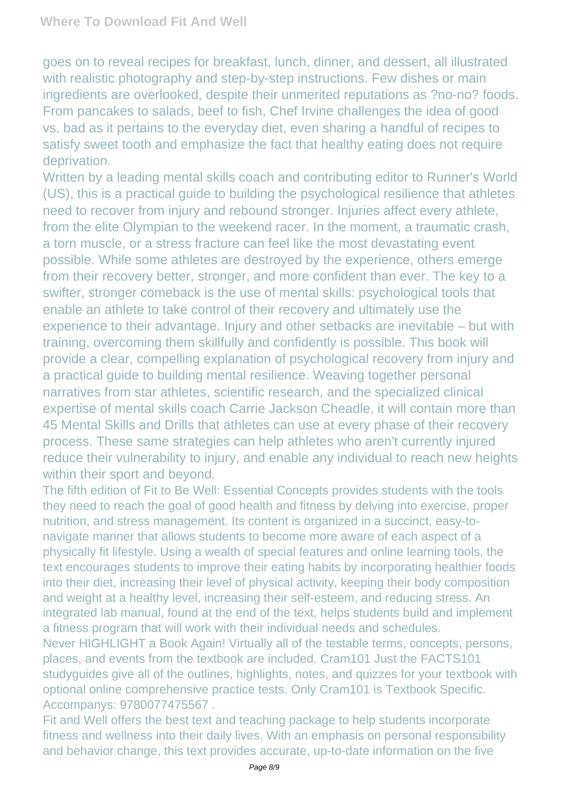goes on to reveal recipes for breakfast, lunch, dinner, and dessert, all illustrated with realistic photography and step-by-step instructions. Few dishes or main ingredients are overlooked, despite their unmerited reputations as ?no-no? foods. From pancakes to salads, beef to fish, Chef Irvine challenges the idea of good vs. bad as it pertains to the everyday diet, even sharing a handful of recipes to satisfy sweet tooth and emphasize the fact that healthy eating does not require deprivation.

Written by a leading mental skills coach and contributing editor to Runner's World (US), this is a practical guide to building the psychological resilience that athletes need to recover from injury and rebound stronger. Injuries affect every athlete, from the elite Olympian to the weekend racer. In the moment, a traumatic crash, a torn muscle, or a stress fracture can feel like the most devastating event possible. While some athletes are destroyed by the experience, others emerge from their recovery better, stronger, and more confident than ever. The key to a swifter, stronger comeback is the use of mental skills: psychological tools that enable an athlete to take control of their recovery and ultimately use the experience to their advantage. Injury and other setbacks are inevitable – but with training, overcoming them skillfully and confidently is possible. This book will provide a clear, compelling explanation of psychological recovery from injury and a practical guide to building mental resilience. Weaving together personal narratives from star athletes, scientific research, and the specialized clinical expertise of mental skills coach Carrie Jackson Cheadle, it will contain more than 45 Mental Skills and Drills that athletes can use at every phase of their recovery process. These same strategies can help athletes who aren't currently injured reduce their vulnerability to injury, and enable any individual to reach new heights within their sport and beyond.

The fifth edition of Fit to Be Well: Essential Concepts provides students with the tools they need to reach the goal of good health and fitness by delving into exercise, proper nutrition, and stress management. Its content is organized in a succinct, easy-tonavigate manner that allows students to become more aware of each aspect of a physically fit lifestyle. Using a wealth of special features and online learning tools, the text encourages students to improve their eating habits by incorporating healthier foods into their diet, increasing their level of physical activity, keeping their body composition and weight at a healthy level, increasing their self-esteem, and reducing stress. An integrated lab manual, found at the end of the text, helps students build and implement a fitness program that will work with their individual needs and schedules. Never HIGHLIGHT a Book Again! Virtually all of the testable terms, concepts, persons,

places, and events from the textbook are included. Cram101 Just the FACTS101 studyguides give all of the outlines, highlights, notes, and quizzes for your textbook with optional online comprehensive practice tests. Only Cram101 is Textbook Specific. Accompanys: 9780077475567 .

Fit and Well offers the best text and teaching package to help students incorporate fitness and wellness into their daily lives. With an emphasis on personal responsibility and behavior change, this text provides accurate, up-to-date information on the five